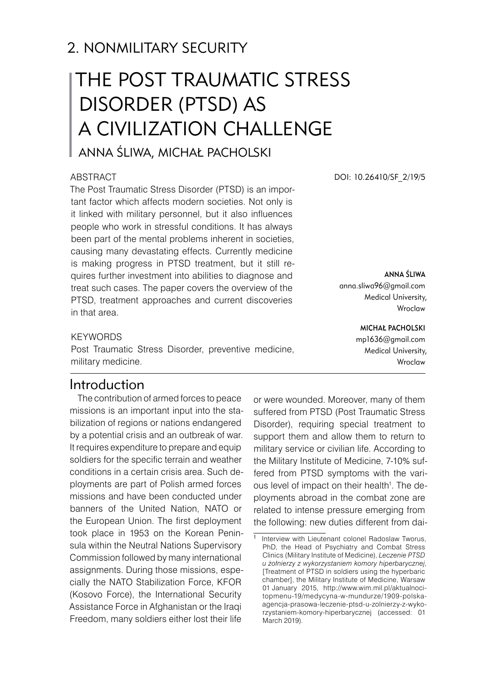# 2. NONMILITARY SECURITY

# The Post Traumatic Stress Disorder (PTSD) as a civilization challenge

Anna Śliwa, Michał Pacholski

#### **ABSTRACT**

The Post Traumatic Stress Disorder (PTSD) is an important factor which affects modern societies. Not only is it linked with military personnel, but it also influences people who work in stressful conditions. It has always been part of the mental problems inherent in societies, causing many devastating effects. Currently medicine is making progress in PTSD treatment, but it still requires further investment into abilities to diagnose and treat such cases. The paper covers the overview of the PTSD, treatment approaches and current discoveries in that area.

## **KEYWORDS**

Post Traumatic Stress Disorder, preventive medicine, military medicine.

# Introduction

The contribution of armed forces to peace missions is an important input into the stabilization of regions or nations endangered by a potential crisis and an outbreak of war. It requires expenditure to prepare and equip soldiers for the specific terrain and weather conditions in a certain crisis area. Such deployments are part of Polish armed forces missions and have been conducted under banners of the United Nation, NATO or the European Union. The first deployment took place in 1953 on the Korean Peninsula within the Neutral Nations Supervisory Commission followed by many international assignments. During those missions, especially the NATO Stabilization Force, KFOR (Kosovo Force), the International Security Assistance Force in Afghanistan or the Iraqi Freedom, many soldiers either lost their life

or were wounded. Moreover, many of them suffered from PTSD (Post Traumatic Stress Disorder), requiring special treatment to support them and allow them to return to military service or civilian life. According to the Military Institute of Medicine, 7-10% suffered from PTSD symptoms with the various level of impact on their health<sup>1</sup>. The deployments abroad in the combat zone are related to intense pressure emerging from the following: new duties different from dai-

DOI: 10.26410/SF\_2/19/5

Anna Śliwa anna.sliwa96@gmail.com Medical University, Wroclaw

#### Michał Pacholski

mp1636@gmail.com Medical University, Wroclaw

Interview with Lieutenant colonel Radoslaw Tworus, PhD, the Head of Psychiatry and Combat Stress Clinics (Military Institute of Medicine), *Leczenie PTSD u żołnierzy z wykorzystaniem komory hiperbarycznej*, **Treatment of PTSD** in soldiers using the hyperbaric chamber], the Military Institute of Medicine, Warsaw 01 January 2015, http://www.wim.mil.pl/aktualnocitopmenu-19/medycyna-w-mundurze/1909-polskaagencja-prasowa-leczenie-ptsd-u-zolnierzy-z-wykorzystaniem-komory-hiperbarycznej (accessed: 01 March 2019).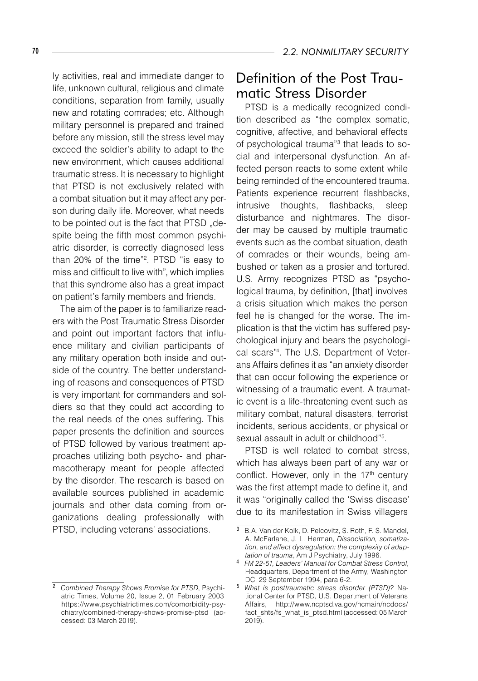ly activities, real and immediate danger to life, unknown cultural, religious and climate conditions, separation from family, usually new and rotating comrades; etc. Although military personnel is prepared and trained before any mission, still the stress level may exceed the soldier's ability to adapt to the new environment, which causes additional traumatic stress. It is necessary to highlight that PTSD is not exclusively related with a combat situation but it may affect any person during daily life. Moreover, what needs to be pointed out is the fact that PTSD "despite being the fifth most common psychiatric disorder, is correctly diagnosed less than 20% of the time"<sup>2</sup>. PTSD "is easy to miss and difficult to live with", which implies that this syndrome also has a great impact on patient's family members and friends.

The aim of the paper is to familiarize readers with the Post Traumatic Stress Disorder and point out important factors that influence military and civilian participants of any military operation both inside and outside of the country. The better understanding of reasons and consequences of PTSD is very important for commanders and soldiers so that they could act according to the real needs of the ones suffering. This paper presents the definition and sources of PTSD followed by various treatment approaches utilizing both psycho- and pharmacotherapy meant for people affected by the disorder. The research is based on available sources published in academic journals and other data coming from organizations dealing professionally with PTSD, including veterans' associations.

# Definition of the Post Traumatic Stress Disorder

PTSD is a medically recognized condition described as "the complex somatic, cognitive, affective, and behavioral effects of psychological trauma"<sup>3</sup> that leads to social and interpersonal dysfunction. An affected person reacts to some extent while being reminded of the encountered trauma. Patients experience recurrent flashbacks, intrusive thoughts, flashbacks, sleep disturbance and nightmares. The disorder may be caused by multiple traumatic events such as the combat situation, death of comrades or their wounds, being ambushed or taken as a prosier and tortured. U.S. Army recognizes PTSD as "psychological trauma, by definition, [that] involves a crisis situation which makes the person feel he is changed for the worse. The implication is that the victim has suffered psychological injury and bears the psychological scars" . The U.S. Department of Veterans Affairs defines it as "an anxiety disorder that can occur following the experience or witnessing of a traumatic event. A traumatic event is a life-threatening event such as military combat, natural disasters, terrorist incidents, serious accidents, or physical or sexual assault in adult or childhood"<sup>5</sup>.

PTSD is well related to combat stress, which has always been part of any war or conflict. However, only in the 17<sup>th</sup> century was the first attempt made to define it, and it was "originally called the 'Swiss disease' due to its manifestation in Swiss villagers

*Combined Therapy Shows Promise for PTSD*, Psychiatric Times, Volume 20, Issue 2, 01 February 2003 https://www.psychiatrictimes.com/comorbidity-psychiatry/combined-therapy-shows-promise-ptsd (accessed: 03 March 2019).

<sup>3</sup> B.A. Van der Kolk, D. Pelcovitz, S. Roth, F. S. Mandel, A. McFarlane, J. L. Herman, *Dissociation, somatization, and affect dysregulation: the complexity of adaptation of trauma*, Am J Psychiatry, July 1996.

*FM 22-51, Leaders' Manual for Combat Stress Control*, Headquarters, Department of the Army, Washington DC, 29 September 1994, para 6-2.

*What is posttraumatic stress disorder (PTSD)?* National Center for PTSD, U.S. Department of Veterans Affairs, http://www.ncptsd.va.gov/ncmain/ncdocs/ fact\_shts/fs\_what\_is\_ptsd.html (accessed: 05 March  $2019$ ).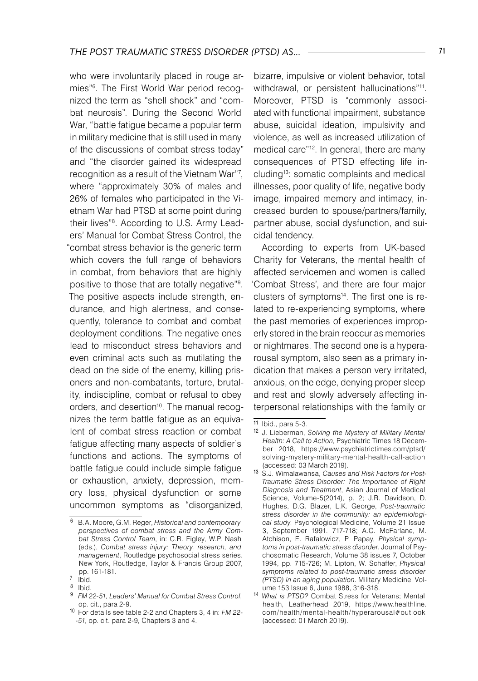who were involuntarily placed in rouge armies"<sup>6</sup>. The First World War period recognized the term as "shell shock" and "combat neurosis". During the Second World War, "battle fatigue became a popular term in military medicine that is still used in many of the discussions of combat stress today" and "the disorder gained its widespread recognition as a result of the Vietnam War"7, where "approximately 30% of males and 26% of females who participated in the Vietnam War had PTSD at some point during their lives" . According to U.S. Army Leaders' Manual for Combat Stress Control, the "combat stress behavior is the generic term which covers the full range of behaviors in combat, from behaviors that are highly positive to those that are totally negative"<sup>9</sup>. The positive aspects include strength, endurance, and high alertness, and consequently, tolerance to combat and combat deployment conditions. The negative ones lead to misconduct stress behaviors and even criminal acts such as mutilating the dead on the side of the enemy, killing prisoners and non-combatants, torture, brutality, indiscipline, combat or refusal to obey orders, and desertion<sup>10</sup>. The manual recognizes the term battle fatigue as an equivalent of combat stress reaction or combat fatigue affecting many aspects of soldier's functions and actions. The symptoms of battle fatigue could include simple fatigue or exhaustion, anxiety, depression, memory loss, physical dysfunction or some uncommon symptoms as "disorganized,

bizarre, impulsive or violent behavior, total withdrawal, or persistent hallucinations"<sup>11</sup>. Moreover, PTSD is "commonly associated with functional impairment, substance abuse, suicidal ideation, impulsivity and violence, as well as increased utilization of medical care"12. In general, there are many consequences of PTSD effecting life including13: somatic complaints and medical illnesses, poor quality of life, negative body image, impaired memory and intimacy, increased burden to spouse/partners/family, partner abuse, social dysfunction, and suicidal tendency.

According to experts from UK-based Charity for Veterans, the mental health of affected servicemen and women is called 'Combat Stress', and there are four major clusters of symptoms<sup>14</sup>. The first one is related to re-experiencing symptoms, where the past memories of experiences improperly stored in the brain reoccur as memories or nightmares. The second one is a hyperarousal symptom, also seen as a primary indication that makes a person very irritated, anxious, on the edge, denying proper sleep and rest and slowly adversely affecting interpersonal relationships with the family or

B.A. Moore, G.M. Reger, *Historical and contemporary perspectives of combat stress and the Army Combat Stress Control Team*, in: C.R. Figley, W.P. Nash (eds.), *Combat stress injury: Theory, research, and management*, Routledge psychosocial stress series. New York, Routledge, Taylor & Francis Group 2007, pp. 161-181.

 $7$   $ibid.$ 

<sup>8</sup> Ibid.

*FM 22-51, Leaders' Manual for Combat Stress Control*, op. cit., para 2-9.

<sup>10</sup> For details see table 2-2 and Chapters 3, 4 in: *FM 22- -51*, op. cit. para 2-9, Chapters 3 and 4.

 $11$  Ibid., para 5-3.

<sup>12</sup> J. Lieberman, *Solving the Mystery of Military Mental Health: A Call to Action*, Psychiatric Times 18 December 2018, https://www.psychiatrictimes.com/ptsd/ solving-mystery-military-mental-health-call-action (accessed: 03 March 2019).

<sup>13</sup> S.J. Wimalawansa, *Causes and Risk Factors for Post-Traumatic Stress Disorder: The Importance of Right Diagnosis and Treatment*, Asian Journal of Medical Science, Volume-5(2014), p. 2; J.R. Davidson, D. Hughes, D.G. Blazer, L.K. George, *Post-traumatic stress disorder in the community: an epidemiological study*. Psychological Medicine, Volume 21 Issue 3, September 1991. 717-718; A.C. McFarlane, M. Atchison, E. Rafalowicz, P. Papay, *Physical symptoms in post-traumatic stress disorder*. Journal of Psychosomatic Research, Volume 38 issues 7, October 1994, pp. 715-726; M. Lipton, W. Schaffer, *Physical symptoms related to post-traumatic stress disorder (PTSD) in an aging population*. Military Medicine, Volume 153 Issue 6, June 1988, 316-318.

<sup>14</sup> *What is PTSD?* Combat Stress for Veterans; Mental health, Leatherhead 2019, https://www.healthline. com/health/mental-health/hyperarousal#outlook (accessed: 01 March 2019).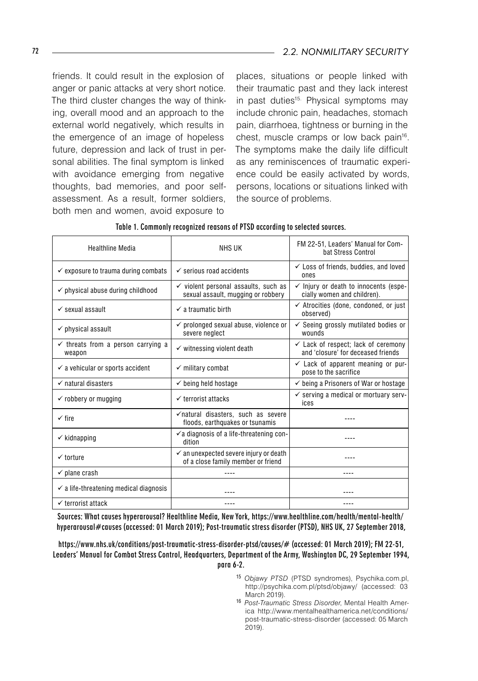friends. It could result in the explosion of anger or panic attacks at very short notice. The third cluster changes the way of thinking, overall mood and an approach to the external world negatively, which results in the emergence of an image of hopeless future, depression and lack of trust in personal abilities. The final symptom is linked with avoidance emerging from negative thoughts, bad memories, and poor selfassessment. As a result, former soldiers, both men and women, avoid exposure to

places, situations or people linked with their traumatic past and they lack interest in past duties<sup>15.</sup> Physical symptoms may include chronic pain, headaches, stomach pain, diarrhoea, tightness or burning in the chest, muscle cramps or low back pain<sup>16</sup>. The symptoms make the daily life difficult as any reminiscences of traumatic experience could be easily activated by words, persons, locations or situations linked with the source of problems.

| <b>Healthline Media</b>                                 | <b>NHS UK</b>                                                                           | FM 22-51, Leaders' Manual for Com-<br>bat Stress Control                             |
|---------------------------------------------------------|-----------------------------------------------------------------------------------------|--------------------------------------------------------------------------------------|
| $\checkmark$ exposure to trauma during combats          | $\checkmark$ serious road accidents                                                     | $\checkmark$ Loss of friends, buddies, and loved<br>ones                             |
| $\checkmark$ physical abuse during childhood            | $\checkmark$ violent personal assaults, such as<br>sexual assault, mugging or robbery   | $\checkmark$ Injury or death to innocents (espe-<br>cially women and children).      |
| $\checkmark$ sexual assault                             | $\checkmark$ a traumatic birth                                                          | $\checkmark$ Atrocities (done, condoned, or just<br>observed)                        |
| $\checkmark$ physical assault                           | $\checkmark$ prolonged sexual abuse, violence or<br>severe neglect                      | $\checkmark$ Seeing grossly mutilated bodies or<br>wounds                            |
| $\checkmark$ threats from a person carrying a<br>weapon | $\checkmark$ witnessing violent death                                                   | $\checkmark$ Lack of respect; lack of ceremony<br>and 'closure' for deceased friends |
| $\checkmark$ a vehicular or sports accident             | $\checkmark$ military combat                                                            | $\checkmark$ Lack of apparent meaning or pur-<br>pose to the sacrifice               |
| $\checkmark$ natural disasters                          | $\checkmark$ being held hostage                                                         | $\checkmark$ being a Prisoners of War or hostage                                     |
| $\checkmark$ robbery or mugging                         | $\checkmark$ terrorist attacks                                                          | $\checkmark$ serving a medical or mortuary serv-<br>ices                             |
| $\checkmark$ fire                                       | √natural disasters, such as severe<br>floods, earthquakes or tsunamis                   |                                                                                      |
| $\checkmark$ kidnapping                                 | $\checkmark$ a diagnosis of a life-threatening con-<br>dition                           |                                                                                      |
| $\checkmark$ torture                                    | $\checkmark$ an unexpected severe injury or death<br>of a close family member or friend |                                                                                      |
| $\checkmark$ plane crash                                |                                                                                         |                                                                                      |
| $\checkmark$ a life-threatening medical diagnosis       |                                                                                         |                                                                                      |
| $\checkmark$ terrorist attack                           |                                                                                         |                                                                                      |

#### Table 1. Commonly recognized reasons of PTSD according to selected sources.

Sources: What causes hyperarousal? Healthline Media, New York, https://www.healthline.com/health/mental-health/ hyperarousal#causes (accessed: 01 March 2019); Post-traumatic stress disorder (PTSD), NHS UK, 27 September 2018,

https://www.nhs.uk/conditions/post-traumatic-stress-disorder-ptsd/causes/# (accessed: 01 March 2019); FM 22-51, Leaders' Manual for Combat Stress Control, Headquarters, Department of the Army, Washington DC, 29 September 1994,

para 6-2.

- <sup>15</sup> *Objawy PTSD* (PTSD syndromes), Psychika.com.pl, http://psychika.com.pl/ptsd/objawy/ (accessed: 03 March 2019).
- <sup>16</sup> *Post-Traumatic Stress Disorder*, Mental Health America http://www.mentalhealthamerica.net/conditions/ post-traumatic-stress-disorder (accessed: 05 March 2019).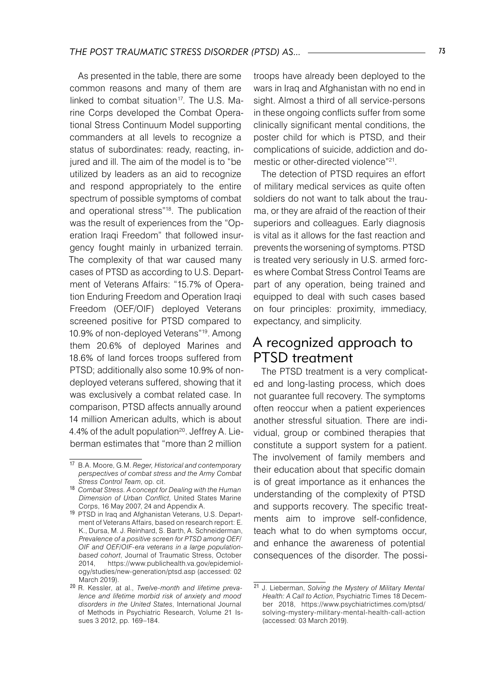As presented in the table, there are some common reasons and many of them are linked to combat situation $17$ . The U.S. Marine Corps developed the Combat Operational Stress Continuum Model supporting commanders at all levels to recognize a status of subordinates: ready, reacting, injured and ill. The aim of the model is to "be utilized by leaders as an aid to recognize and respond appropriately to the entire spectrum of possible symptoms of combat and operational stress"18 . The publication was the result of experiences from the "Operation Iraqi Freedom" that followed insurgency fought mainly in urbanized terrain. The complexity of that war caused many cases of PTSD as according to U.S. Department of Veterans Affairs: "15.7% of Operation Enduring Freedom and Operation Iraqi Freedom (OEF/OIF) deployed Veterans screened positive for PTSD compared to 10.9% of non-deployed Veterans"19. Among them 20.6% of deployed Marines and 18.6% of land forces troops suffered from PTSD; additionally also some 10.9% of nondeployed veterans suffered, showing that it was exclusively a combat related case. In comparison, PTSD affects annually around 14 million American adults, which is about 4.4% of the adult population<sup>20</sup>. Jeffrey A. Lieberman estimates that "more than 2 million

troops have already been deployed to the wars in Iraq and Afghanistan with no end in sight. Almost a third of all service-persons in these ongoing conflicts suffer from some clinically significant mental conditions, the poster child for which is PTSD, and their complications of suicide, addiction and domestic or other-directed violence"<sup>21</sup>.

The detection of PTSD requires an effort of military medical services as quite often soldiers do not want to talk about the trauma, or they are afraid of the reaction of their superiors and colleagues. Early diagnosis is vital as it allows for the fast reaction and prevents the worsening of symptoms. PTSD is treated very seriously in U.S. armed forces where Combat Stress Control Teams are part of any operation, being trained and equipped to deal with such cases based on four principles: proximity, immediacy, expectancy, and simplicity.

## A recognized approach to PTSD treatment

The PTSD treatment is a very complicated and long-lasting process, which does not guarantee full recovery. The symptoms often reoccur when a patient experiences another stressful situation. There are individual, group or combined therapies that constitute a support system for a patient. The involvement of family members and their education about that specific domain is of great importance as it enhances the understanding of the complexity of PTSD and supports recovery. The specific treatments aim to improve self-confidence, teach what to do when symptoms occur, and enhance the awareness of potential consequences of the disorder. The possi-

<sup>15</sup> 16<sup>17</sup> B.A. Moore, G.M. *Reger, Historical and contemporary perspectives of combat stress and the Army Combat Stress Control Team*, op. cit.

<sup>18</sup> *Combat Stress. A concept for Dealing with the Human Dimension of Urban Conflict*, United States Marine Corps, 16 May 2007, 24 and Appendix A.

<sup>19</sup> PTSD in Iraq and Afghanistan Veterans, U.S. Department of Veterans Affairs, based on research report: E. K., Dursa, M. J. Reinhard, S. Barth, A. Schneiderman, *Prevalence of a positive screen for PTSD among OEF/ OIF and OEF/OIF-era veterans in a large populationbased cohort*, Journal of Traumatic Stress, October https://www.publichealth.va.gov/epidemiology/studies/new-generation/ptsd.asp (accessed: 02 March 2019).

<sup>20</sup> R. Kessler, at al., *Twelve-month and lifetime prevalence and lifetime morbid risk of anxiety and mood disorders in the United States*, International Journal of Methods in Psychiatric Research, Volume 21 Issues 3 2012, pp. 169–184.

<sup>21</sup> J. Lieberman, *Solving the Mystery of Military Mental Health: A Call to Action*, Psychiatric Times 18 December 2018, https://www.psychiatrictimes.com/ptsd/ solving-mystery-military-mental-health-call-action (accessed: 03 March 2019).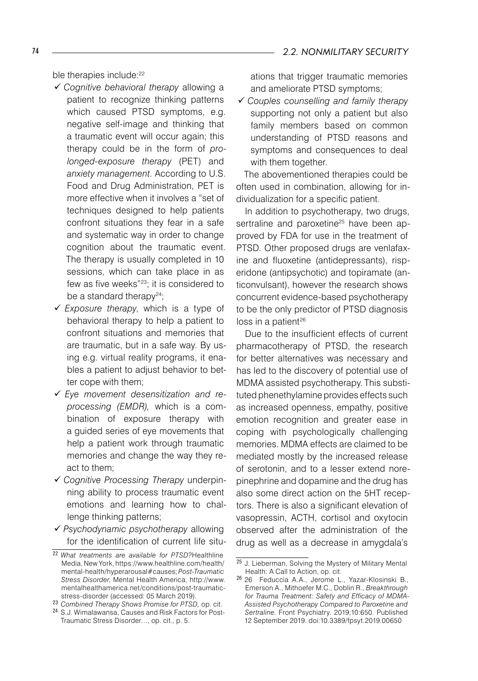ble therapies include:<sup>22</sup>

- *Cognitive behavioral therapy* allowing a patient to recognize thinking patterns which caused PTSD symptoms, e.g. negative self-image and thinking that a traumatic event will occur again; this therapy could be in the form of *prolonged-exposure therapy* (PET) and *anxiety management*. According to U.S. Food and Drug Administration, PET is more effective when it involves a "set of techniques designed to help patients confront situations they fear in a safe and systematic way in order to change cognition about the traumatic event. The therapy is usually completed in 10 sessions, which can take place in as few as five weeks"23; it is considered to be a standard therapy $^{24};$
- *Exposure therapy*, which is a type of behavioral therapy to help a patient to confront situations and memories that are traumatic, but in a safe way. By using e.g. virtual reality programs, it enables a patient to adjust behavior to better cope with them;
- *Eye movement desensitization and reprocessing (EMDR),* which is a combination of exposure therapy with a guided series of eye movements that help a patient work through traumatic memories and change the way they react to them;
- *Cognitive Processing Therapy* underpinning ability to process traumatic event emotions and learning how to challenge thinking patterns;
- *Psychodynamic psychotherapy* allowing for the identification of current life situ-

ations that trigger traumatic memories and ameliorate PTSD symptoms;

 *Couples counselling and family therapy* supporting not only a patient but also family members based on common understanding of PTSD reasons and symptoms and consequences to deal with them together.

The abovementioned therapies could be often used in combination, allowing for individualization for a specific patient.

In addition to psychotherapy, two drugs, sertraline and paroxetine<sup>25</sup> have been approved by FDA for use in the treatment of PTSD. Other proposed drugs are venlafaxine and fluoxetine (antidepressants), risperidone (antipsychotic) and topiramate (anticonvulsant), however the research shows concurrent evidence-based psychotherapy to be the only predictor of PTSD diagnosis  $loss$  in a patient<sup>26</sup>

Due to the insufficient effects of current pharmacotherapy of PTSD, the research for better alternatives was necessary and has led to the discovery of potential use of MDMA assisted psychotherapy. This substituted phenethylamine provides effects such as increased openness, empathy, positive emotion recognition and greater ease in coping with psychologically challenging memories. MDMA effects are claimed to be mediated mostly by the increased release of serotonin, and to a lesser extend norepinephrine and dopamine and the drug has also some direct action on the 5HT receptors. There is also a significant elevation of vasopressin, ACTH, cortisol and oxytocin observed after the administration of the drug as well as a decrease in amygdala's

<sup>22</sup> *What treatments are available for PTSD?*Healthline Media, New York, https://www.healthline.com/health/ mental-health/hyperarousal#causes; *Post-Traumatic Stress Disorder*, Mental Health America, http://www. mentalhealthamerica.net/conditions/post-traumaticstress-disorder (accessed: 05 March 2019).

<sup>23</sup> *Combined Therapy Shows Promise for PTSD,* op. cit.

<sup>24</sup> S.J. Wimalawansa, Causes and Risk Factors for Post-Traumatic Stress Disorder…, op. cit., p. 5.

<sup>25</sup> J. Lieberman, Solving the Mystery of Military Mental Health: A Call to Action, op. cit.

<sup>26</sup> 26 Feduccia A.A., Jerome L., Yazar-Klosinski B., Emerson A., Mithoefer M.C., Doblin R., *Breakthrough for Trauma Treatment: Safety and Efficacy of MDMA-Assisted Psychotherapy Compared to Paroxetine and Sertraline*. Front Psychiatry. 2019;10:650. Published 12 September 2019. doi:10.3389/fpsyt.2019.00650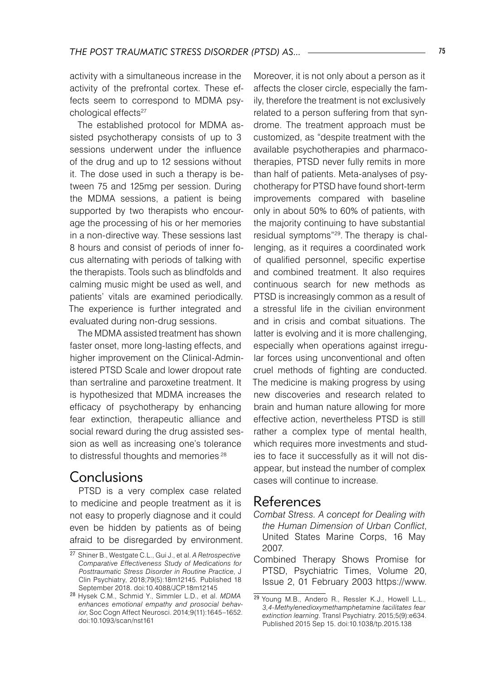activity with a simultaneous increase in the activity of the prefrontal cortex. These effects seem to correspond to MDMA psychological effects<sup>27</sup>

The established protocol for MDMA assisted psychotherapy consists of up to 3 sessions underwent under the influence of the drug and up to 12 sessions without it. The dose used in such a therapy is between 75 and 125mg per session. During the MDMA sessions, a patient is being supported by two therapists who encourage the processing of his or her memories in a non-directive way. These sessions last 8 hours and consist of periods of inner focus alternating with periods of talking with the therapists. Tools such as blindfolds and calming music might be used as well, and patients' vitals are examined periodically. The experience is further integrated and evaluated during non-drug sessions.

The MDMA assisted treatment has shown faster onset, more long-lasting effects, and higher improvement on the Clinical-Administered PTSD Scale and lower dropout rate than sertraline and paroxetine treatment. It is hypothesized that MDMA increases the efficacy of psychotherapy by enhancing fear extinction, therapeutic alliance and social reward during the drug assisted session as well as increasing one's tolerance to distressful thoughts and memories<sup>.28</sup>

## Conclusions

PTSD is a very complex case related to medicine and people treatment as it is not easy to properly diagnose and it could even be hidden by patients as of being afraid to be disregarded by environment.

Moreover, it is not only about a person as it affects the closer circle, especially the family, therefore the treatment is not exclusively related to a person suffering from that syndrome. The treatment approach must be customized, as "despite treatment with the available psychotherapies and pharmacotherapies, PTSD never fully remits in more than half of patients. Meta-analyses of psychotherapy for PTSD have found short-term improvements compared with baseline only in about 50% to 60% of patients, with the majority continuing to have substantial residual symptoms"29. The therapy is challenging, as it requires a coordinated work of qualified personnel, specific expertise and combined treatment. It also requires continuous search for new methods as PTSD is increasingly common as a result of a stressful life in the civilian environment and in crisis and combat situations. The latter is evolving and it is more challenging, especially when operations against irregular forces using unconventional and often cruel methods of fighting are conducted. The medicine is making progress by using new discoveries and research related to brain and human nature allowing for more effective action, nevertheless PTSD is still rather a complex type of mental health, which requires more investments and studies to face it successfully as it will not disappear, but instead the number of complex cases will continue to increase.

## References

- *Combat Stress. A concept for Dealing with the Human Dimension of Urban Conflict*, United States Marine Corps, 16 May 2007.
- Combined Therapy Shows Promise for PTSD, Psychiatric Times, Volume 20, Issue 2, 01 February 2003 https://www.

<sup>27</sup> Shiner B., Westgate C.L., Gui J., et al. *A Retrospective Comparative Effectiveness Study of Medications for Posttraumatic Stress Disorder in Routine Practice*, J Clin Psychiatry, 2018;79(5):18m12145. Published 18 September 2018. doi:10.4088/JCP.18m12145

<sup>28</sup> Hysek C.M., Schmid Y., Simmler L.D., et al. *MDMA enhances emotional empathy and prosocial behavior*, Soc Cogn Affect Neurosci. 2014;9(11):1645–1652. doi:10.1093/scan/nst161

<sup>29</sup> Young M.B., Andero R., Ressler K.J., Howell L.L., *3,4-Methylenedioxymethamphetamine facilitates fear extinction learning*. Transl Psychiatry. 2015;5(9):e634. Published 2015 Sep 15. doi:10.1038/tp.2015.138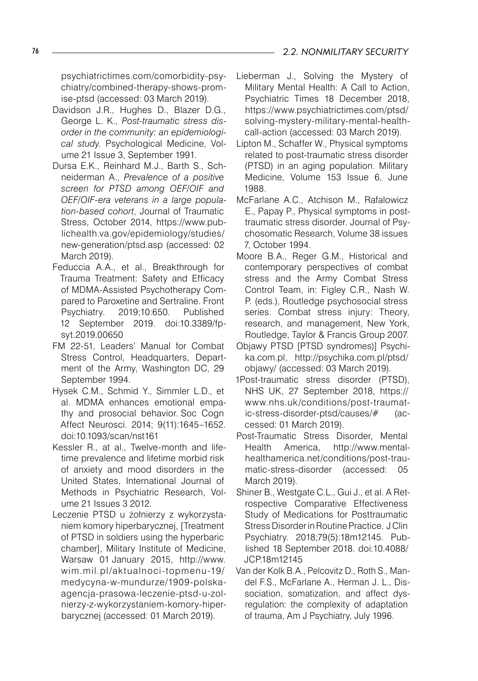psychiatrictimes.com/comorbidity-psychiatry/combined-therapy-shows-promise-ptsd (accessed: 03 March 2019).

- Davidson J.R., Hughes D., Blazer D.G., George L. K., *Post-traumatic stress disorder in the community: an epidemiological study*. Psychological Medicine, Volume 21 Issue 3, September 1991.
- Dursa E.K., Reinhard M.J., Barth S., Schneiderman A., *Prevalence of a positive screen for PTSD among OEF/OIF and OEF/OIF-era veterans in a large population-based cohort*, Journal of Traumatic Stress, October 2014, https://www.publichealth.va.gov/epidemiology/studies/ new-generation/ptsd.asp (accessed: 02 March 2019).
- Feduccia A.A., et al., Breakthrough for Trauma Treatment: Safety and Efficacy of MDMA-Assisted Psychotherapy Compared to Paroxetine and Sertraline. Front Psychiatry. 2019;10:650. Published 12 September 2019. doi:10.3389/fpsyt.2019.00650
- FM 22-51, Leaders' Manual for Combat Stress Control, Headquarters, Department of the Army, Washington DC, 29 September 1994.
- Hysek C.M., Schmid Y., Simmler L.D., et al. MDMA enhances emotional empathy and prosocial behavior. Soc Cogn Affect Neurosci. 2014; 9(11):1645–1652. doi:10.1093/scan/nst161
- Kessler R., at al., Twelve-month and lifetime prevalence and lifetime morbid risk of anxiety and mood disorders in the United States, International Journal of Methods in Psychiatric Research, Volume 21 Issues 3 2012.
- Leczenie PTSD u żołnierzy z wykorzystaniem komory hiperbarycznej, [Treatment of PTSD in soldiers using the hyperbaric chamber], Military Institute of Medicine, Warsaw 01 January 2015, http://www. wim.mil.pl/aktualnoci-topmenu-19/ medycyna-w-mundurze/1909-polskaagencja-prasowa-leczenie-ptsd-u-zolnierzy-z-wykorzystaniem-komory-hiperbarycznej (accessed: 01 March 2019).
- Lieberman J., Solving the Mystery of Military Mental Health: A Call to Action, Psychiatric Times 18 December 2018, https://www.psychiatrictimes.com/ptsd/ solving-mystery-military-mental-healthcall-action (accessed: 03 March 2019).
- Lipton M., Schaffer W., Physical symptoms related to post-traumatic stress disorder (PTSD) in an aging population. Military Medicine, Volume 153 Issue 6, June 1988.
- McFarlane A.C., Atchison M., Rafalowicz E., Papay P., Physical symptoms in posttraumatic stress disorder. Journal of Psychosomatic Research, Volume 38 issues 7, October 1994.
- Moore B.A., Reger G.M., Historical and contemporary perspectives of combat stress and the Army Combat Stress Control Team, in: Figley C.R., Nash W. P. (eds.), Routledge psychosocial stress series. Combat stress injury: Theory, research, and management, New York, Routledge, Taylor & Francis Group 2007.
- Objawy PTSD [PTSD syndromes)] Psychika.com.pl, http://psychika.com.pl/ptsd/ objawy/ (accessed: 03 March 2019).
- 1Post-traumatic stress disorder (PTSD), NHS UK, 27 September 2018, https:// www.nhs.uk/conditions/post-traumatic-stress-disorder-ptsd/causes/# (accessed: 01 March 2019).
- Post-Traumatic Stress Disorder, Mental Health America, http://www.mentalhealthamerica.net/conditions/post-traumatic-stress-disorder (accessed: 05 March 2019).
- Shiner B., Westgate C.L., Gui J., et al. A Retrospective Comparative Effectiveness Study of Medications for Posttraumatic Stress Disorder in Routine Practice. J Clin Psychiatry. 2018;79(5):18m12145. Published 18 September 2018. doi:10.4088/ JCP.18m12145
- Van der Kolk B.A., Pelcovitz D., Roth S., Mandel F.S., McFarlane A., Herman J. L., Dissociation, somatization, and affect dysregulation: the complexity of adaptation of trauma, Am J Psychiatry, July 1996.